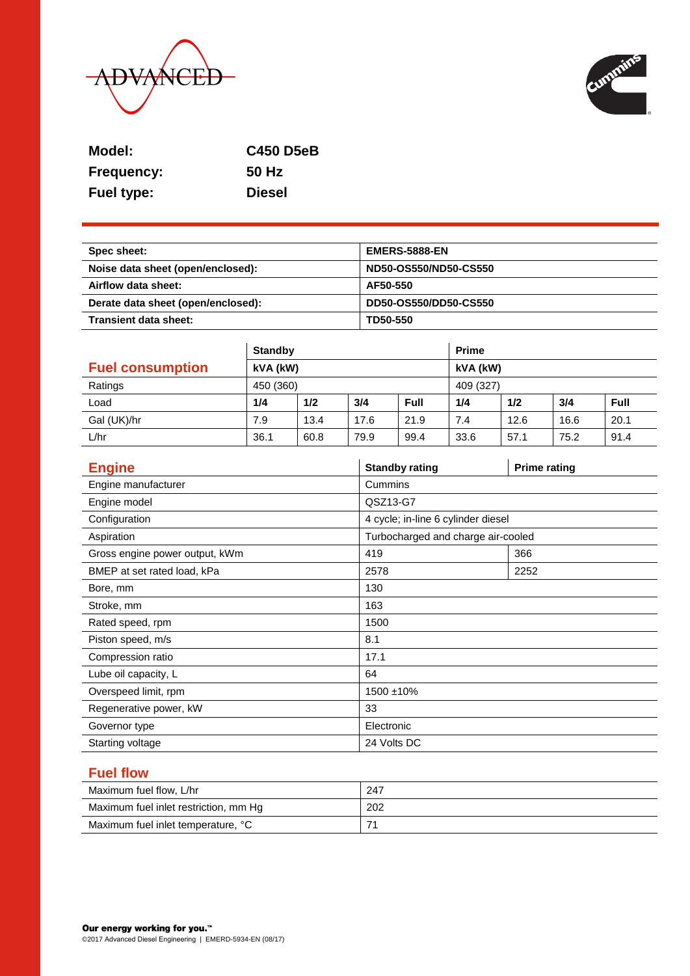



| Model:            | <b>C450 D5eB</b> |
|-------------------|------------------|
| <b>Frequency:</b> | 50 Hz            |
| <b>Fuel type:</b> | <b>Diesel</b>    |

| Spec sheet:                        | <b>EMERS-5888-EN</b>  |
|------------------------------------|-----------------------|
| Noise data sheet (open/enclosed):  | ND50-OS550/ND50-CS550 |
| Airflow data sheet:                | AF50-550              |
| Derate data sheet (open/enclosed): | DD50-OS550/DD50-CS550 |
| Transient data sheet:              | TD50-550              |

|                         | <b>Standby</b> |      |      | <b>Prime</b> |      |      |      |      |
|-------------------------|----------------|------|------|--------------|------|------|------|------|
| <b>Fuel consumption</b> | kVA (kW)       |      |      | kVA (kW)     |      |      |      |      |
| Ratings                 | 450 (360)      |      |      | 409 (327)    |      |      |      |      |
| Load                    | 1/4            | 1/2  | 3/4  | <b>Full</b>  | 1/4  | 1/2  | 3/4  | Full |
| Gal (UK)/hr             | 7.9            | 13.4 | 17.6 | 21.9         | 7.4  | 12.6 | 16.6 | 20.1 |
| L/hr                    | 36.1           | 60.8 | 79.9 | 99.4         | 33.6 | 57.1 | 75.2 | 91.4 |

| <b>Engine</b>                  | <b>Standby rating</b>              | <b>Prime rating</b> |  |  |
|--------------------------------|------------------------------------|---------------------|--|--|
| Engine manufacturer            | Cummins                            |                     |  |  |
| Engine model                   | QSZ13-G7                           |                     |  |  |
| Configuration                  | 4 cycle; in-line 6 cylinder diesel |                     |  |  |
| Aspiration                     | Turbocharged and charge air-cooled |                     |  |  |
| Gross engine power output, kWm | 419                                | 366                 |  |  |
| BMEP at set rated load, kPa    | 2578                               | 2252                |  |  |
| Bore, mm                       | 130                                |                     |  |  |
| Stroke, mm                     | 163                                |                     |  |  |
| Rated speed, rpm               | 1500                               |                     |  |  |
| Piston speed, m/s              | 8.1                                |                     |  |  |
| Compression ratio              | 17.1                               |                     |  |  |
| Lube oil capacity, L           | 64                                 |                     |  |  |
| Overspeed limit, rpm           | 1500 ±10%                          |                     |  |  |
| Regenerative power, kW         | 33                                 |                     |  |  |
| Governor type                  | Electronic                         |                     |  |  |
| Starting voltage               | 24 Volts DC                        |                     |  |  |

# **Fuel flow**

| Maximum fuel flow, L/hr               | 247 |
|---------------------------------------|-----|
| Maximum fuel inlet restriction, mm Hg | 202 |
| Maximum fuel inlet temperature, °C    |     |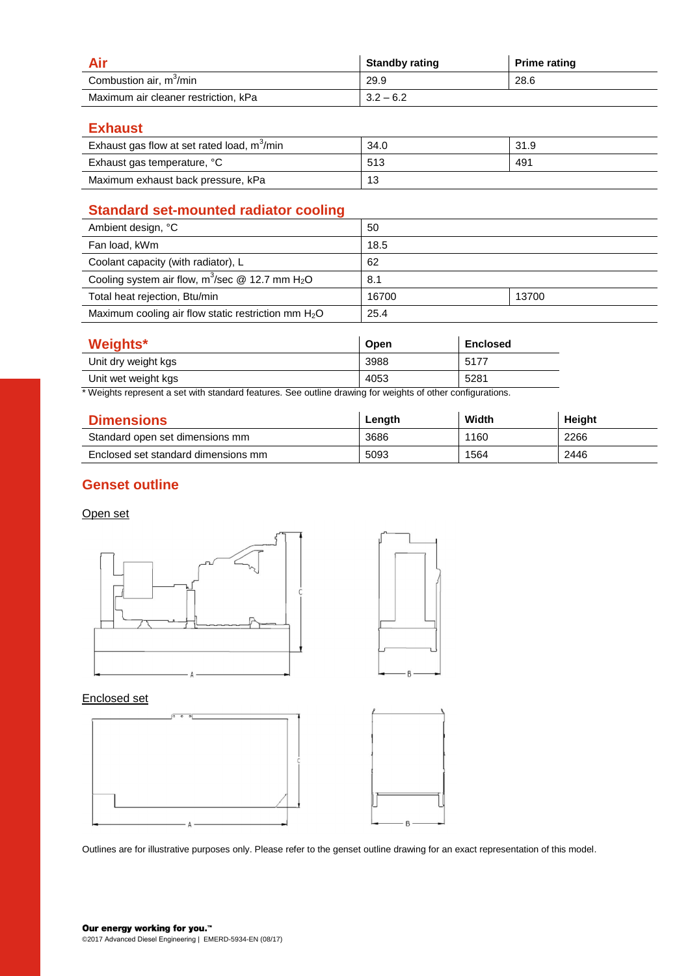|                                      | <b>Standby rating</b> | <b>Prime rating</b> |
|--------------------------------------|-----------------------|---------------------|
| Combustion air, m <sup>3</sup> /min  | 29.9                  | 28.6                |
| Maximum air cleaner restriction, kPa | $3.2 - 6.2$           |                     |

**Exhaust**

| Exhaust gas flow at set rated load, m <sup>3</sup> /min | 34.0 | 31.9 |
|---------------------------------------------------------|------|------|
| Exhaust gas temperature, °C                             | 513  | 491  |
| Maximum exhaust back pressure, kPa                      | 13   |      |

# **Standard set-mounted radiator cooling**

| Ambient design, °C                                             | 50    |       |
|----------------------------------------------------------------|-------|-------|
| Fan load, kWm                                                  | 18.5  |       |
| Coolant capacity (with radiator), L                            | 62    |       |
| Cooling system air flow, $m^3$ /sec @ 12.7 mm H <sub>2</sub> O | 8.1   |       |
| Total heat rejection, Btu/min                                  | 16700 | 13700 |
| Maximum cooling air flow static restriction mm $H_2O$          | 25.4  |       |

| <b>Weights*</b>     | Open | <b>Enclosed</b> |
|---------------------|------|-----------------|
| Unit dry weight kgs | 3988 | 5177            |
| Unit wet weight kgs | 4053 | 5281            |

\* Weights represent a set with standard features. See outline drawing for weights of other configurations.

| <b>Dimensions</b>                   | Length | Width | Height |
|-------------------------------------|--------|-------|--------|
| Standard open set dimensions mm     | 3686   | 1160  | 2266   |
| Enclosed set standard dimensions mm | 5093   | 1564  | 2446   |

# **Genset outline**

#### Open set





#### Enclosed set



Outlines are for illustrative purposes only. Please refer to the genset outline drawing for an exact representation of this model.